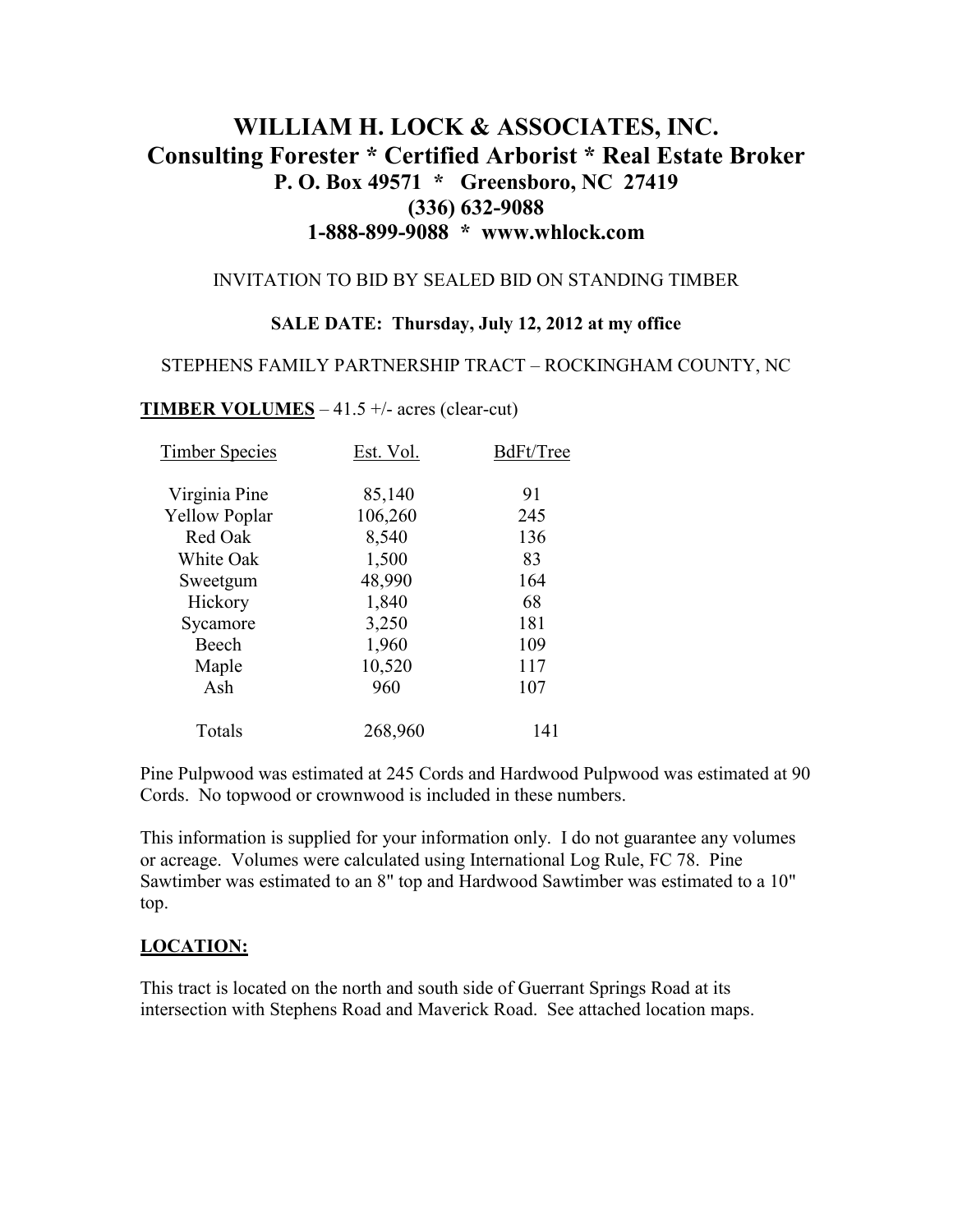# **WILLIAM H. LOCK & ASSOCIATES, INC. Consulting Forester \* Certified Arborist \* Real Estate Broker P. O. Box 49571 \* Greensboro, NC 27419 (336) 632-9088 1-888-899-9088 \* www.whlock.com**

### INVITATION TO BID BY SEALED BID ON STANDING TIMBER

#### **SALE DATE: Thursday, July 12, 2012 at my office**

#### STEPHENS FAMILY PARTNERSHIP TRACT – ROCKINGHAM COUNTY, NC

#### **TIMBER VOLUMES** – 41.5 +/- acres (clear-cut)

| <b>Timber Species</b> | Est. Vol. | BdFt/Tree |
|-----------------------|-----------|-----------|
| Virginia Pine         | 85,140    | 91        |
| <b>Yellow Poplar</b>  | 106,260   | 245       |
| Red Oak               | 8,540     | 136       |
| White Oak             | 1,500     | 83        |
| Sweetgum              | 48,990    | 164       |
| Hickory               | 1,840     | 68        |
| Sycamore              | 3,250     | 181       |
| Beech                 | 1,960     | 109       |
| Maple                 | 10,520    | 117       |
| Ash                   | 960       | 107       |
| Totals                | 268,960   | 141       |

Pine Pulpwood was estimated at 245 Cords and Hardwood Pulpwood was estimated at 90 Cords. No topwood or crownwood is included in these numbers.

This information is supplied for your information only. I do not guarantee any volumes or acreage. Volumes were calculated using International Log Rule, FC 78. Pine Sawtimber was estimated to an 8" top and Hardwood Sawtimber was estimated to a 10" top.

#### **LOCATION:**

This tract is located on the north and south side of Guerrant Springs Road at its intersection with Stephens Road and Maverick Road. See attached location maps.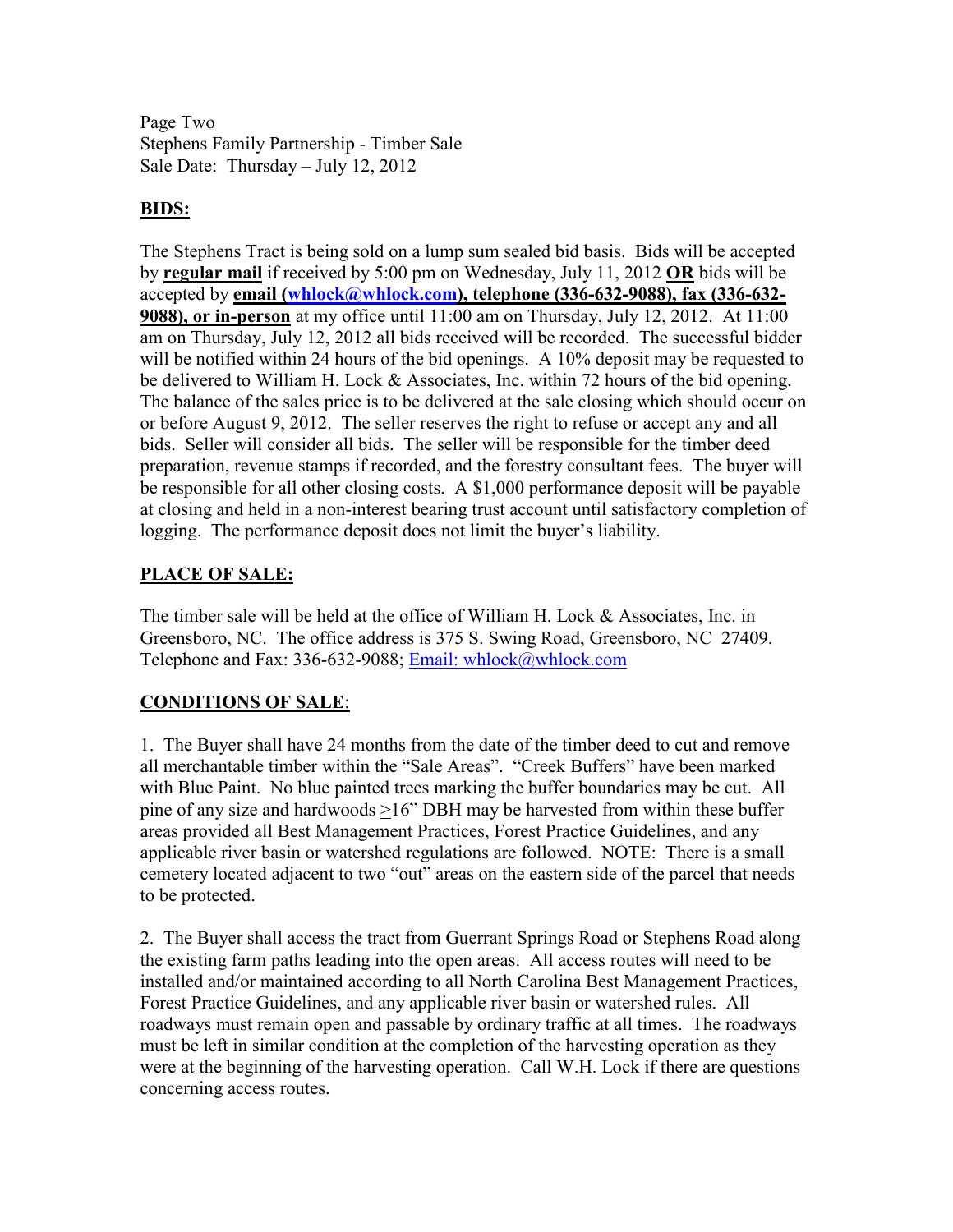Page Two Stephens Family Partnership - Timber Sale Sale Date: Thursday – July 12, 2012

### **BIDS:**

The Stephens Tract is being sold on a lump sum sealed bid basis. Bids will be accepted by **regular mail** if received by 5:00 pm on Wednesday, July 11, 2012 **OR** bids will be accepted by **email (whlock@whlock.com), telephone (336-632-9088), fax (336-632- 9088), or in-person** at my office until 11:00 am on Thursday, July 12, 2012. At 11:00 am on Thursday, July 12, 2012 all bids received will be recorded. The successful bidder will be notified within 24 hours of the bid openings. A 10% deposit may be requested to be delivered to William H. Lock & Associates, Inc. within 72 hours of the bid opening. The balance of the sales price is to be delivered at the sale closing which should occur on or before August 9, 2012. The seller reserves the right to refuse or accept any and all bids. Seller will consider all bids. The seller will be responsible for the timber deed preparation, revenue stamps if recorded, and the forestry consultant fees. The buyer will be responsible for all other closing costs. A \$1,000 performance deposit will be payable at closing and held in a non-interest bearing trust account until satisfactory completion of logging. The performance deposit does not limit the buyer's liability.

### **PLACE OF SALE:**

The timber sale will be held at the office of William H. Lock & Associates, Inc. in Greensboro, NC. The office address is 375 S. Swing Road, Greensboro, NC 27409. Telephone and Fax: 336-632-9088; Email: whlock@whlock.com

## **CONDITIONS OF SALE**:

1. The Buyer shall have 24 months from the date of the timber deed to cut and remove all merchantable timber within the "Sale Areas". "Creek Buffers" have been marked with Blue Paint. No blue painted trees marking the buffer boundaries may be cut. All pine of any size and hardwoods >16" DBH may be harvested from within these buffer areas provided all Best Management Practices, Forest Practice Guidelines, and any applicable river basin or watershed regulations are followed. NOTE: There is a small cemetery located adjacent to two "out" areas on the eastern side of the parcel that needs to be protected.

2. The Buyer shall access the tract from Guerrant Springs Road or Stephens Road along the existing farm paths leading into the open areas. All access routes will need to be installed and/or maintained according to all North Carolina Best Management Practices, Forest Practice Guidelines, and any applicable river basin or watershed rules. All roadways must remain open and passable by ordinary traffic at all times. The roadways must be left in similar condition at the completion of the harvesting operation as they were at the beginning of the harvesting operation. Call W.H. Lock if there are questions concerning access routes.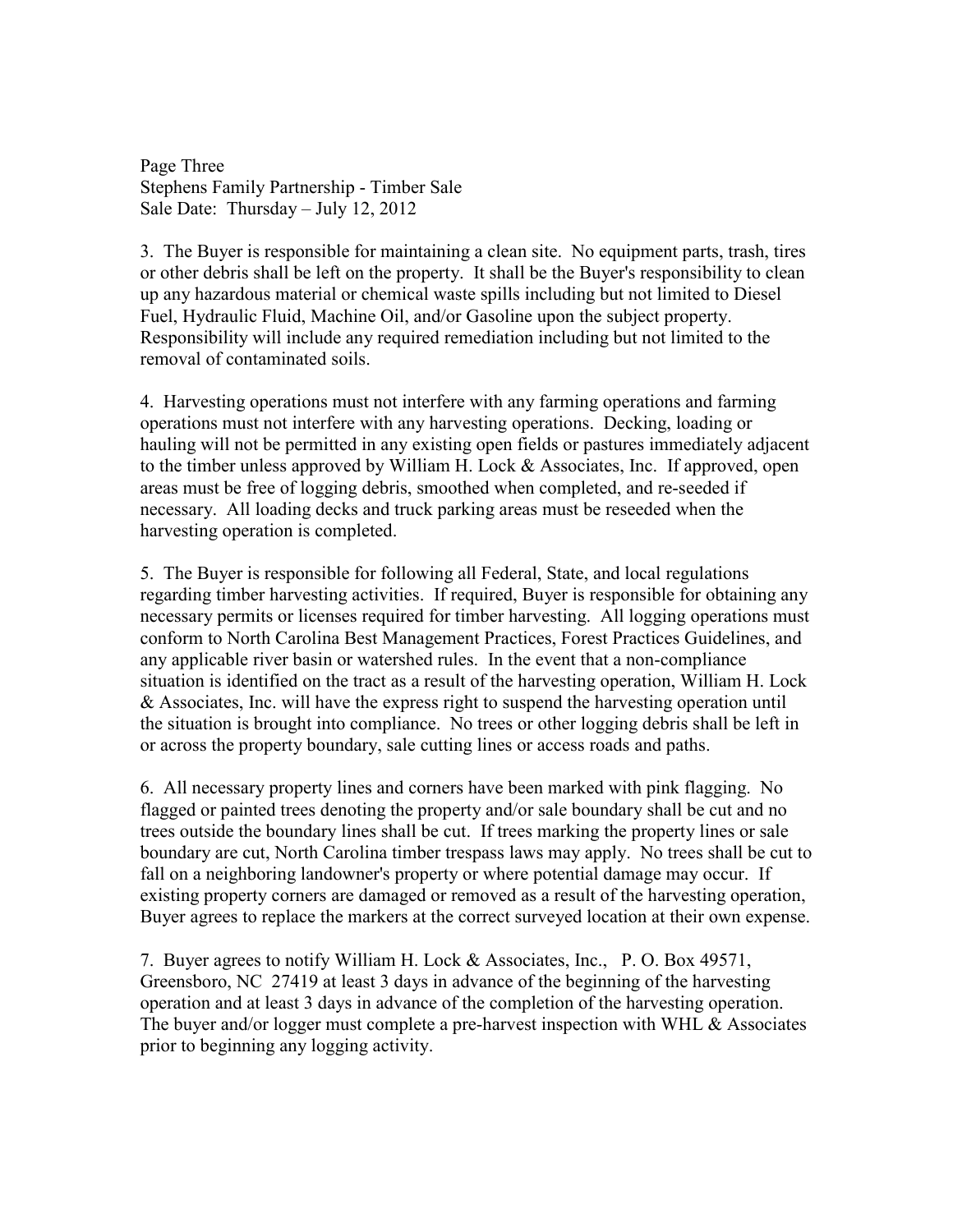Page Three Stephens Family Partnership - Timber Sale Sale Date: Thursday – July 12, 2012

3. The Buyer is responsible for maintaining a clean site. No equipment parts, trash, tires or other debris shall be left on the property. It shall be the Buyer's responsibility to clean up any hazardous material or chemical waste spills including but not limited to Diesel Fuel, Hydraulic Fluid, Machine Oil, and/or Gasoline upon the subject property. Responsibility will include any required remediation including but not limited to the removal of contaminated soils.

4. Harvesting operations must not interfere with any farming operations and farming operations must not interfere with any harvesting operations. Decking, loading or hauling will not be permitted in any existing open fields or pastures immediately adjacent to the timber unless approved by William H. Lock & Associates, Inc. If approved, open areas must be free of logging debris, smoothed when completed, and re-seeded if necessary. All loading decks and truck parking areas must be reseeded when the harvesting operation is completed.

5. The Buyer is responsible for following all Federal, State, and local regulations regarding timber harvesting activities. If required, Buyer is responsible for obtaining any necessary permits or licenses required for timber harvesting. All logging operations must conform to North Carolina Best Management Practices, Forest Practices Guidelines, and any applicable river basin or watershed rules. In the event that a non-compliance situation is identified on the tract as a result of the harvesting operation, William H. Lock & Associates, Inc. will have the express right to suspend the harvesting operation until the situation is brought into compliance. No trees or other logging debris shall be left in or across the property boundary, sale cutting lines or access roads and paths.

6. All necessary property lines and corners have been marked with pink flagging. No flagged or painted trees denoting the property and/or sale boundary shall be cut and no trees outside the boundary lines shall be cut. If trees marking the property lines or sale boundary are cut, North Carolina timber trespass laws may apply. No trees shall be cut to fall on a neighboring landowner's property or where potential damage may occur. If existing property corners are damaged or removed as a result of the harvesting operation, Buyer agrees to replace the markers at the correct surveyed location at their own expense.

7. Buyer agrees to notify William H. Lock & Associates, Inc., P. O. Box 49571, Greensboro, NC 27419 at least 3 days in advance of the beginning of the harvesting operation and at least 3 days in advance of the completion of the harvesting operation. The buyer and/or logger must complete a pre-harvest inspection with WHL & Associates prior to beginning any logging activity.